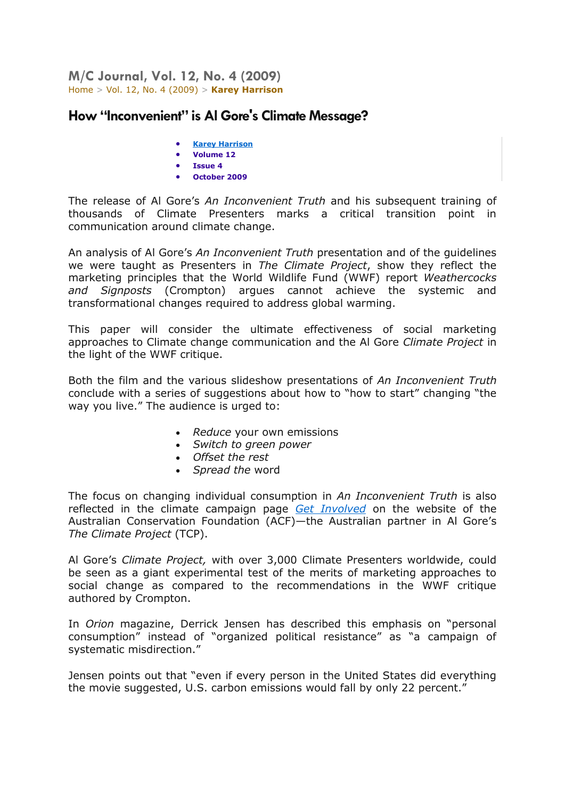**M/C Journal, Vol. 12, No. 4 (2009)**  [Home](http://journal.media-culture.org.au/index.php/mcjournal/index) > [Vol. 12, No. 4 \(2009\)](http://journal.media-culture.org.au/index.php/mcjournal/issue/view/climate) > **[Karey Harrison](http://journal.media-culture.org.au/index.php/mcjournal/article/viewArticle/175/0)**

## **How "Inconvenient" is Al Gore's Climate Message?**

- **[Karey Harrison](javascript:openRTWindow()**
- **Volume 12**
- **Issue 4**
- **October 2009**

The release of Al Gore's *An Inconvenient Truth* and his subsequent training of thousands of Climate Presenters marks a critical transition point in communication around climate change.

An analysis of Al Gore's *An Inconvenient Truth* presentation and of the guidelines we were taught as Presenters in *The Climate Project*, show they reflect the marketing principles that the World Wildlife Fund (WWF) report *Weathercocks and Signposts* (Crompton) argues cannot achieve the systemic and transformational changes required to address global warming.

This paper will consider the ultimate effectiveness of social marketing approaches to Climate change communication and the Al Gore *Climate Project* in the light of the WWF critique.

Both the film and the various slideshow presentations of *An Inconvenient Truth* conclude with a series of suggestions about how to "how to start" changing "the way you live." The audience is urged to:

- *Reduce* your own emissions
- *Switch to green power*
- *Offset the rest*
- *Spread the* word

The focus on changing individual consumption in *An Inconvenient Truth* is also reflected in the climate campaign page *[Get Involved](http://www.acfonline.org.au/default.asp?section_id=239)* on the website of the Australian Conservation Foundation (ACF)—the Australian partner in Al Gore's *The Climate Project* (TCP).

Al Gore's *Climate Project,* with over 3,000 Climate Presenters worldwide, could be seen as a giant experimental test of the merits of marketing approaches to social change as compared to the recommendations in the WWF critique authored by Crompton.

In *Orion* magazine, Derrick Jensen has described this emphasis on "personal consumption" instead of "organized political resistance" as "a campaign of systematic misdirection."

Jensen points out that "even if every person in the United States did everything the movie suggested, U.S. carbon emissions would fall by only 22 percent."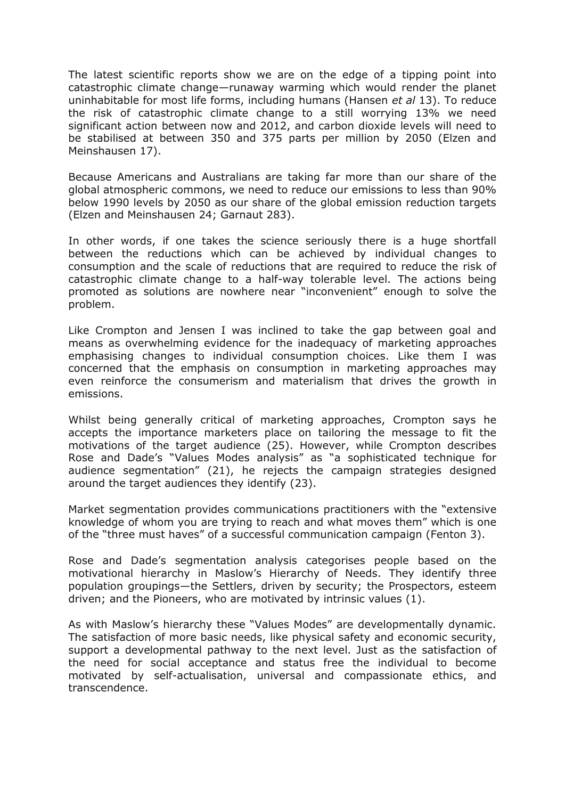The latest scientific reports show we are on the edge of a tipping point into catastrophic climate change—runaway warming which would render the planet uninhabitable for most life forms, including humans (Hansen *et al* 13). To reduce the risk of catastrophic climate change to a still worrying 13% we need significant action between now and 2012, and carbon dioxide levels will need to be stabilised at between 350 and 375 parts per million by 2050 (Elzen and Meinshausen 17).

Because Americans and Australians are taking far more than our share of the global atmospheric commons, we need to reduce our emissions to less than 90% below 1990 levels by 2050 as our share of the global emission reduction targets (Elzen and Meinshausen 24; Garnaut 283).

In other words, if one takes the science seriously there is a huge shortfall between the reductions which can be achieved by individual changes to consumption and the scale of reductions that are required to reduce the risk of catastrophic climate change to a half-way tolerable level. The actions being promoted as solutions are nowhere near "inconvenient" enough to solve the problem.

Like Crompton and Jensen I was inclined to take the gap between goal and means as overwhelming evidence for the inadequacy of marketing approaches emphasising changes to individual consumption choices. Like them I was concerned that the emphasis on consumption in marketing approaches may even reinforce the consumerism and materialism that drives the growth in emissions.

Whilst being generally critical of marketing approaches, Crompton says he accepts the importance marketers place on tailoring the message to fit the motivations of the target audience (25). However, while Crompton describes Rose and Dade's "Values Modes analysis" as "a sophisticated technique for audience segmentation" (21), he rejects the campaign strategies designed around the target audiences they identify (23).

Market segmentation provides communications practitioners with the "extensive knowledge of whom you are trying to reach and what moves them" which is one of the "three must haves" of a successful communication campaign (Fenton 3).

Rose and Dade's segmentation analysis categorises people based on the motivational hierarchy in Maslow's Hierarchy of Needs. They identify three population groupings—the Settlers, driven by security; the Prospectors, esteem driven; and the Pioneers, who are motivated by intrinsic values (1).

As with Maslow's hierarchy these "Values Modes" are developmentally dynamic. The satisfaction of more basic needs, like physical safety and economic security, support a developmental pathway to the next level. Just as the satisfaction of the need for social acceptance and status free the individual to become motivated by self-actualisation, universal and compassionate ethics, and transcendence.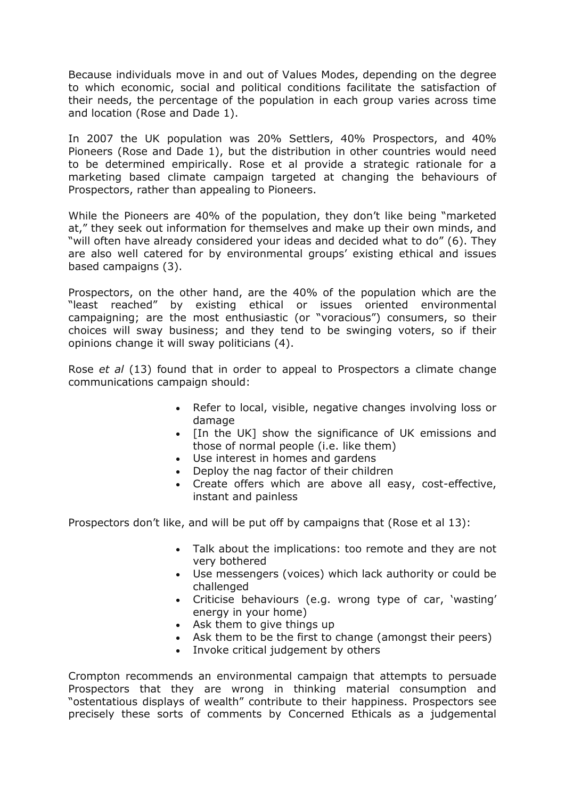Because individuals move in and out of Values Modes, depending on the degree to which economic, social and political conditions facilitate the satisfaction of their needs, the percentage of the population in each group varies across time and location (Rose and Dade 1).

In 2007 the UK population was 20% Settlers, 40% Prospectors, and 40% Pioneers (Rose and Dade 1), but the distribution in other countries would need to be determined empirically. Rose et al provide a strategic rationale for a marketing based climate campaign targeted at changing the behaviours of Prospectors, rather than appealing to Pioneers.

While the Pioneers are 40% of the population, they don't like being "marketed at," they seek out information for themselves and make up their own minds, and "will often have already considered your ideas and decided what to do" (6). They are also well catered for by environmental groups' existing ethical and issues based campaigns (3).

Prospectors, on the other hand, are the 40% of the population which are the "least reached" by existing ethical or issues oriented environmental campaigning; are the most enthusiastic (or "voracious") consumers, so their choices will sway business; and they tend to be swinging voters, so if their opinions change it will sway politicians (4).

Rose *et al* (13) found that in order to appeal to Prospectors a climate change communications campaign should:

- Refer to local, visible, negative changes involving loss or damage
- [In the UK] show the significance of UK emissions and those of normal people (i.e. like them)
- Use interest in homes and gardens
- Deploy the nag factor of their children
- Create offers which are above all easy, cost-effective, instant and painless

Prospectors don't like, and will be put off by campaigns that (Rose et al 13):

- Talk about the implications: too remote and they are not very bothered
- Use messengers (voices) which lack authority or could be challenged
- Criticise behaviours (e.g. wrong type of car, 'wasting' energy in your home)
- Ask them to give things up
- Ask them to be the first to change (amongst their peers)
- Invoke critical judgement by others

Crompton recommends an environmental campaign that attempts to persuade Prospectors that they are wrong in thinking material consumption and "ostentatious displays of wealth" contribute to their happiness. Prospectors see precisely these sorts of comments by Concerned Ethicals as a judgemental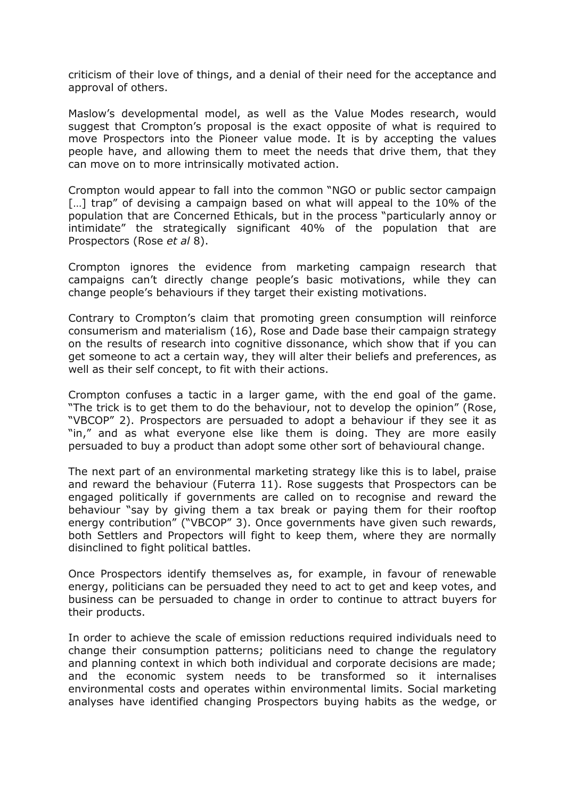criticism of their love of things, and a denial of their need for the acceptance and approval of others.

Maslow's developmental model, as well as the Value Modes research, would suggest that Crompton's proposal is the exact opposite of what is required to move Prospectors into the Pioneer value mode. It is by accepting the values people have, and allowing them to meet the needs that drive them, that they can move on to more intrinsically motivated action.

Crompton would appear to fall into the common "NGO or public sector campaign [...] trap" of devising a campaign based on what will appeal to the 10% of the population that are Concerned Ethicals, but in the process "particularly annoy or intimidate" the strategically significant 40% of the population that are Prospectors (Rose *et al* 8).

Crompton ignores the evidence from marketing campaign research that campaigns can't directly change people's basic motivations, while they can change people's behaviours if they target their existing motivations.

Contrary to Crompton's claim that promoting green consumption will reinforce consumerism and materialism (16), Rose and Dade base their campaign strategy on the results of research into cognitive dissonance, which show that if you can get someone to act a certain way, they will alter their beliefs and preferences, as well as their self concept, to fit with their actions.

Crompton confuses a tactic in a larger game, with the end goal of the game. "The trick is to get them to do the behaviour, not to develop the opinion" (Rose, "VBCOP" 2). Prospectors are persuaded to adopt a behaviour if they see it as "in," and as what everyone else like them is doing. They are more easily persuaded to buy a product than adopt some other sort of behavioural change.

The next part of an environmental marketing strategy like this is to label, praise and reward the behaviour (Futerra 11). Rose suggests that Prospectors can be engaged politically if governments are called on to recognise and reward the behaviour "say by giving them a tax break or paying them for their rooftop energy contribution" ("VBCOP" 3). Once governments have given such rewards, both Settlers and Propectors will fight to keep them, where they are normally disinclined to fight political battles.

Once Prospectors identify themselves as, for example, in favour of renewable energy, politicians can be persuaded they need to act to get and keep votes, and business can be persuaded to change in order to continue to attract buyers for their products.

In order to achieve the scale of emission reductions required individuals need to change their consumption patterns; politicians need to change the regulatory and planning context in which both individual and corporate decisions are made; and the economic system needs to be transformed so it internalises environmental costs and operates within environmental limits. Social marketing analyses have identified changing Prospectors buying habits as the wedge, or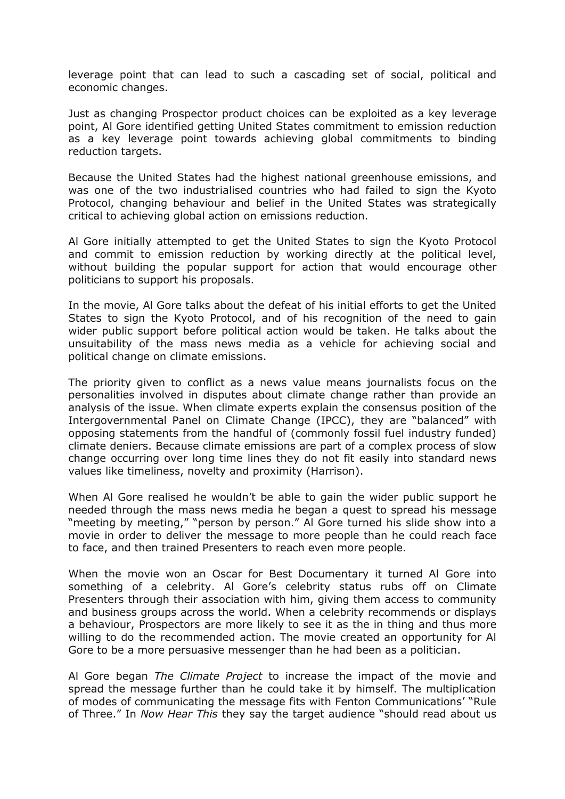leverage point that can lead to such a cascading set of social, political and economic changes.

Just as changing Prospector product choices can be exploited as a key leverage point, Al Gore identified getting United States commitment to emission reduction as a key leverage point towards achieving global commitments to binding reduction targets.

Because the United States had the highest national greenhouse emissions, and was one of the two industrialised countries who had failed to sign the Kyoto Protocol, changing behaviour and belief in the United States was strategically critical to achieving global action on emissions reduction.

Al Gore initially attempted to get the United States to sign the Kyoto Protocol and commit to emission reduction by working directly at the political level, without building the popular support for action that would encourage other politicians to support his proposals.

In the movie, Al Gore talks about the defeat of his initial efforts to get the United States to sign the Kyoto Protocol, and of his recognition of the need to gain wider public support before political action would be taken. He talks about the unsuitability of the mass news media as a vehicle for achieving social and political change on climate emissions.

The priority given to conflict as a news value means journalists focus on the personalities involved in disputes about climate change rather than provide an analysis of the issue. When climate experts explain the consensus position of the Intergovernmental Panel on Climate Change (IPCC), they are "balanced" with opposing statements from the handful of (commonly fossil fuel industry funded) climate deniers. Because climate emissions are part of a complex process of slow change occurring over long time lines they do not fit easily into standard news values like timeliness, novelty and proximity (Harrison).

When Al Gore realised he wouldn't be able to gain the wider public support he needed through the mass news media he began a quest to spread his message "meeting by meeting," "person by person." Al Gore turned his slide show into a movie in order to deliver the message to more people than he could reach face to face, and then trained Presenters to reach even more people.

When the movie won an Oscar for Best Documentary it turned Al Gore into something of a celebrity. Al Gore's celebrity status rubs off on Climate Presenters through their association with him, giving them access to community and business groups across the world. When a celebrity recommends or displays a behaviour, Prospectors are more likely to see it as the in thing and thus more willing to do the recommended action. The movie created an opportunity for Al Gore to be a more persuasive messenger than he had been as a politician.

Al Gore began *The Climate Project* to increase the impact of the movie and spread the message further than he could take it by himself. The multiplication of modes of communicating the message fits with Fenton Communications' "Rule of Three." In *Now Hear This* they say the target audience "should read about us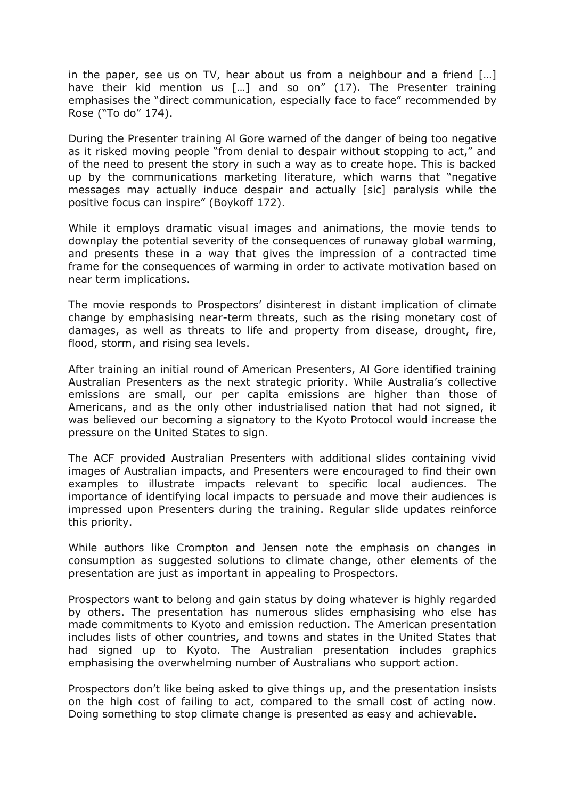in the paper, see us on TV, hear about us from a neighbour and a friend […] have their kid mention us [...] and so on" (17). The Presenter training emphasises the "direct communication, especially face to face" recommended by Rose ("To do" 174).

During the Presenter training Al Gore warned of the danger of being too negative as it risked moving people "from denial to despair without stopping to act," and of the need to present the story in such a way as to create hope. This is backed up by the communications marketing literature, which warns that "negative messages may actually induce despair and actually [sic] paralysis while the positive focus can inspire" (Boykoff 172).

While it employs dramatic visual images and animations, the movie tends to downplay the potential severity of the consequences of runaway global warming, and presents these in a way that gives the impression of a contracted time frame for the consequences of warming in order to activate motivation based on near term implications.

The movie responds to Prospectors' disinterest in distant implication of climate change by emphasising near-term threats, such as the rising monetary cost of damages, as well as threats to life and property from disease, drought, fire, flood, storm, and rising sea levels.

After training an initial round of American Presenters, Al Gore identified training Australian Presenters as the next strategic priority. While Australia's collective emissions are small, our per capita emissions are higher than those of Americans, and as the only other industrialised nation that had not signed, it was believed our becoming a signatory to the Kyoto Protocol would increase the pressure on the United States to sign.

The ACF provided Australian Presenters with additional slides containing vivid images of Australian impacts, and Presenters were encouraged to find their own examples to illustrate impacts relevant to specific local audiences. The importance of identifying local impacts to persuade and move their audiences is impressed upon Presenters during the training. Regular slide updates reinforce this priority.

While authors like Crompton and Jensen note the emphasis on changes in consumption as suggested solutions to climate change, other elements of the presentation are just as important in appealing to Prospectors.

Prospectors want to belong and gain status by doing whatever is highly regarded by others. The presentation has numerous slides emphasising who else has made commitments to Kyoto and emission reduction. The American presentation includes lists of other countries, and towns and states in the United States that had signed up to Kyoto. The Australian presentation includes graphics emphasising the overwhelming number of Australians who support action.

Prospectors don't like being asked to give things up, and the presentation insists on the high cost of failing to act, compared to the small cost of acting now. Doing something to stop climate change is presented as easy and achievable.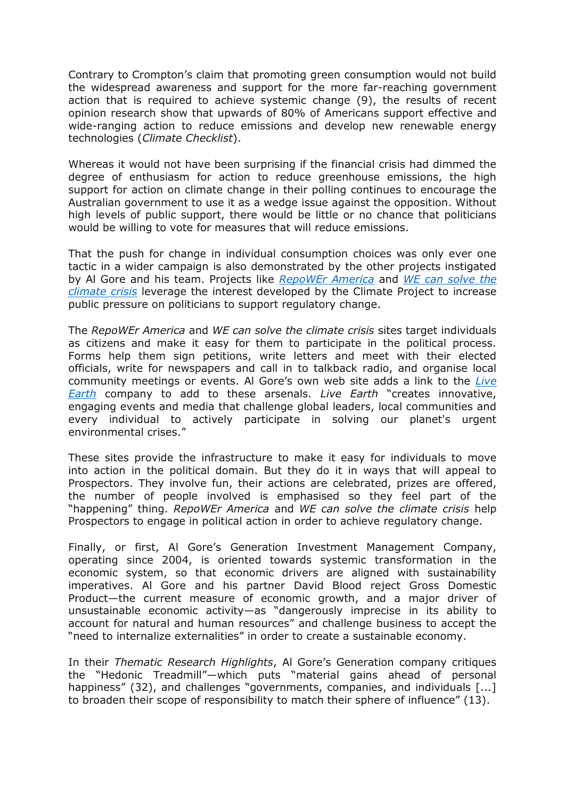Contrary to Crompton's claim that promoting green consumption would not build the widespread awareness and support for the more far-reaching government action that is required to achieve systemic change (9), the results of recent opinion research show that upwards of 80% of Americans support effective and wide-ranging action to reduce emissions and develop new renewable energy technologies (*Climate Checklist*).

Whereas it would not have been surprising if the financial crisis had dimmed the degree of enthusiasm for action to reduce greenhouse emissions, the high support for action on climate change in their polling continues to encourage the Australian government to use it as a wedge issue against the opposition. Without high levels of public support, there would be little or no chance that politicians would be willing to vote for measures that will reduce emissions.

That the push for change in individual consumption choices was only ever one tactic in a wider campaign is also demonstrated by the other projects instigated by Al Gore and his team. Projects like *[RepoWEr America](http://www.repoweramerica.org/)* and *[WE can solve the](http://www.wecansolveit.org/)  [climate crisis](http://www.wecansolveit.org/)* leverage the interest developed by the Climate Project to increase public pressure on politicians to support regulatory change.

The *RepoWEr America* and *WE can solve the climate crisis* sites target individuals as citizens and make it easy for them to participate in the political process. Forms help them sign petitions, write letters and meet with their elected officials, write for newspapers and call in to talkback radio, and organise local community meetings or events. Al Gore's own web site adds a link to the *[Live](http://liveearth.org/en)  [Earth](http://liveearth.org/en)* company to add to these arsenals. *Live Earth* "creates innovative, engaging events and media that challenge global leaders, local communities and every individual to actively participate in solving our planet's urgent environmental crises."

These sites provide the infrastructure to make it easy for individuals to move into action in the political domain. But they do it in ways that will appeal to Prospectors. They involve fun, their actions are celebrated, prizes are offered, the number of people involved is emphasised so they feel part of the "happening" thing. *RepoWEr America* and *WE can solve the climate crisis* help Prospectors to engage in political action in order to achieve regulatory change.

Finally, or first, Al Gore's Generation Investment Management Company, operating since 2004, is oriented towards systemic transformation in the economic system, so that economic drivers are aligned with sustainability imperatives. Al Gore and his partner David Blood reject Gross Domestic Product—the current measure of economic growth, and a major driver of unsustainable economic activity—as "dangerously imprecise in its ability to account for natural and human resources" and challenge business to accept the "need to internalize externalities" in order to create a sustainable economy.

In their *Thematic Research Highlights*, Al Gore's Generation company critiques the "Hedonic Treadmill"—which puts "material gains ahead of personal happiness" (32), and challenges "governments, companies, and individuals [...] to broaden their scope of responsibility to match their sphere of influence" (13).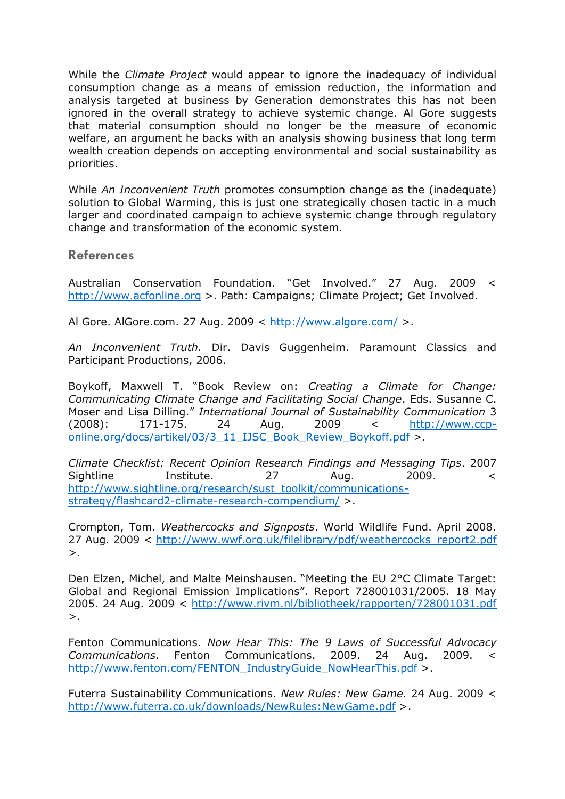While the *Climate Project* would appear to ignore the inadequacy of individual consumption change as a means of emission reduction, the information and analysis targeted at business by Generation demonstrates this has not been ignored in the overall strategy to achieve systemic change. Al Gore suggests that material consumption should no longer be the measure of economic welfare, an argument he backs with an analysis showing business that long term wealth creation depends on accepting environmental and social sustainability as priorities.

While *An Inconvenient Truth* promotes consumption change as the (inadequate) solution to Global Warming, this is just one strategically chosen tactic in a much larger and coordinated campaign to achieve systemic change through regulatory change and transformation of the economic system.

## **References**

Australian Conservation Foundation. "Get Involved." 27 Aug. 2009 < [http://www.acfonline.org](http://www.acfonline.org/) >. Path: Campaigns; Climate Project; Get Involved.

Al Gore. AlGore.com. 27 Aug. 2009 <<http://www.algore.com/> >.

*An Inconvenient Truth.* Dir. Davis Guggenheim. Paramount Classics and Participant Productions, 2006.

Boykoff, Maxwell T. "Book Review on: *Creating a Climate for Change: Communicating Climate Change and Facilitating Social Change*. Eds. Susanne C. Moser and Lisa Dilling." *International Journal of Sustainability Communication* 3 (2008): 171-175. 24 Aug. 2009 < [http://www.ccp](http://www.ccp-online.org/docs/artikel/03/3_11_IJSC_Book_Review_Boykoff.pdf)[online.org/docs/artikel/03/3\\_11\\_IJSC\\_Book\\_Review\\_Boykoff.pdf](http://www.ccp-online.org/docs/artikel/03/3_11_IJSC_Book_Review_Boykoff.pdf) >.

*Climate Checklist: Recent Opinion Research Findings and Messaging Tips*. 2007 Sightline Institute. 27 Aug. 2009. < [http://www.sightline.org/research/sust\\_toolkit/communications](http://www.sightline.org/research/sust_toolkit/communications-strategy/flashcard2-climate-research-compendium/)[strategy/flashcard2-climate-research-compendium/](http://www.sightline.org/research/sust_toolkit/communications-strategy/flashcard2-climate-research-compendium/) >.

Crompton, Tom. *Weathercocks and Signposts*. World Wildlife Fund. April 2008. 27 Aug. 2009 < [http://www.wwf.org.uk/filelibrary/pdf/weathercocks\\_report2.pdf](http://www.wwf.org.uk/filelibrary/pdf/weathercocks_report2.pdf)  $>$ .

Den Elzen, Michel, and Malte Meinshausen. "Meeting the EU 2°C Climate Target: Global and Regional Emission Implications". Report 728001031/2005. 18 May 2005. 24 Aug. 2009 <<http://www.rivm.nl/bibliotheek/rapporten/728001031.pdf>  $>$ .

Fenton Communications. *Now Hear This: The 9 Laws of Successful Advocacy Communications*. Fenton Communications. 2009. 24 Aug. 2009. < [http://www.fenton.com/FENTON\\_IndustryGuide\\_NowHearThis.pdf](http://www.fenton.com/FENTON_IndustryGuide_NowHearThis.pdf) >.

Futerra Sustainability Communications. *New Rules: New Game.* 24 Aug. 2009 < <http://www.futerra.co.uk/downloads/NewRules:NewGame.pdf> >.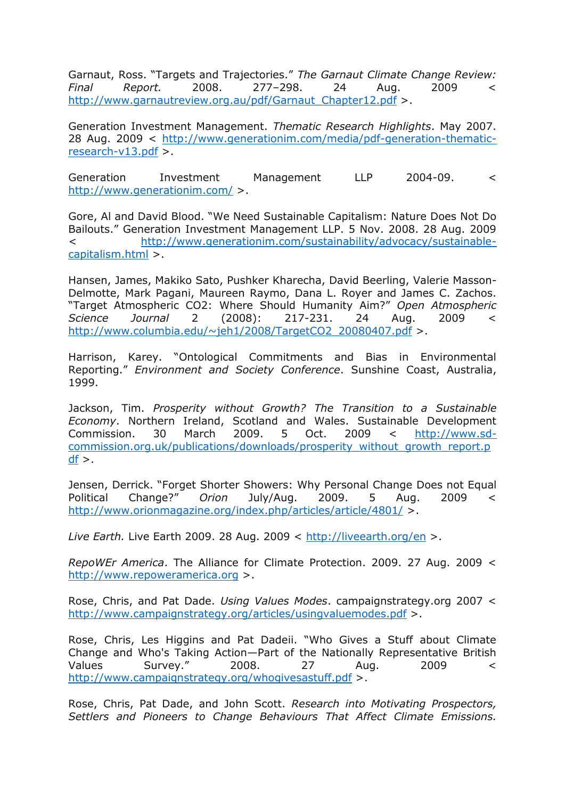Garnaut, Ross. "Targets and Trajectories." *The Garnaut Climate Change Review: Final Report.* 2008. 277–298. 24 Aug. 2009 < [http://www.garnautreview.org.au/pdf/Garnaut\\_Chapter12.pdf](http://www.garnautreview.org.au/pdf/Garnaut_Chapter12.pdf) >.

Generation Investment Management. *Thematic Research Highlights*. May 2007. 28 Aug. 2009 < [http://www.generationim.com/media/pdf-generation-thematic](http://www.generationim.com/media/pdf-generation-thematic-research-v13.pdf)[research-v13.pdf](http://www.generationim.com/media/pdf-generation-thematic-research-v13.pdf) >.

Generation Investment Management LLP 2004-09. < <http://www.generationim.com/> >.

Gore, Al and David Blood. "We Need Sustainable Capitalism: Nature Does Not Do Bailouts." Generation Investment Management LLP. 5 Nov. 2008. 28 Aug. 2009 < [http://www.generationim.com/sustainability/advocacy/sustainable](http://www.generationim.com/sustainability/advocacy/sustainable-capitalism.html)[capitalism.html](http://www.generationim.com/sustainability/advocacy/sustainable-capitalism.html) >.

Hansen, James, Makiko Sato, Pushker Kharecha, David Beerling, Valerie Masson-Delmotte, Mark Pagani, Maureen Raymo, Dana L. Royer and James C. Zachos. "Target Atmospheric CO2: Where Should Humanity Aim?" *Open Atmospheric Science Journal* 2 (2008): 217-231. 24 Aug. 2009 < [http://www.columbia.edu/~jeh1/2008/TargetCO2\\_20080407.pdf](http://www.columbia.edu/~jeh1/2008/TargetCO2_20080407.pdf) >.

Harrison, Karey. "Ontological Commitments and Bias in Environmental Reporting." *Environment and Society Conference*. Sunshine Coast, Australia, 1999.

Jackson, Tim. *Prosperity without Growth? The Transition to a Sustainable Economy*. Northern Ireland, Scotland and Wales. Sustainable Development Commission. 30 March 2009. 5 Oct. 2009 < [http://www.sd](http://www.sd-commission.org.uk/publications/downloads/prosperity_without_growth_report.pdf)[commission.org.uk/publications/downloads/prosperity\\_without\\_growth\\_report.p](http://www.sd-commission.org.uk/publications/downloads/prosperity_without_growth_report.pdf)  $df$  >.

Jensen, Derrick. "Forget Shorter Showers: Why Personal Change Does not Equal Political Change?" *Orion* July/Aug. 2009. 5 Aug. 2009 < <http://www.orionmagazine.org/index.php/articles/article/4801/> >.

*Live Earth.* Live Earth 2009. 28 Aug. 2009 <<http://liveearth.org/en> >.

*RepoWEr America*. The Alliance for Climate Protection. 2009. 27 Aug. 2009 < [http://www.repoweramerica.org](http://www.repoweramerica.org/) >.

Rose, Chris, and Pat Dade. *Using Values Modes*. campaignstrategy.org 2007 < <http://www.campaignstrategy.org/articles/usingvaluemodes.pdf> >.

Rose, Chris, Les Higgins and Pat Dadeii. "Who Gives a Stuff about Climate Change and Who's Taking Action—Part of the Nationally Representative British Values Survey." 2008. 27 Aug. 2009 < <http://www.campaignstrategy.org/whogivesastuff.pdf> >.

Rose, Chris, Pat Dade, and John Scott. *Research into Motivating Prospectors, Settlers and Pioneers to Change Behaviours That Affect Climate Emissions.*